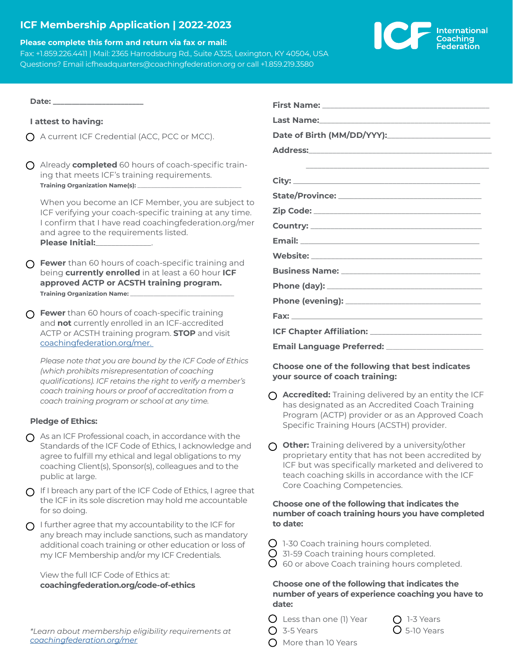# **ICF Membership Application | 2022-2023**

#### **Please complete this form and return via fax or mail:**

Fax: +1.859.226.4411 | Mail: 2365 Harrodsburg Rd., Suite A325, Lexington, KY 40504, USA Questions? Email icfheadquarters@coachingfederation.org or call +1.859.219.3580



**Date: \_\_\_\_\_\_\_\_\_\_\_\_\_\_\_\_\_\_\_\_\_\_\_\_**

### **I attest to having:**

- $\bigcap$  A current ICF Credential (ACC, PCC or MCC).
- Already **completed** 60 hours of coach-specific training that meets ICF's training requirements. **Training Organization Name(s): \_**

When you become an ICF Member, you are subject to ICF verifying your coach-specific training at any time. I confirm that I have read coachingfederation.org/mer and agree to the requirements listed. **Please Initial:**\_\_\_\_\_\_\_\_\_\_\_\_\_\_.

- **C** Fewer than 60 hours of coach-specific training and being **currently enrolled** in at least a 60 hour **ICF approved ACTP or ACSTH training program. Training Organization Name:**
- **C** Fewer than 60 hours of coach-specific training and **not** currently enrolled in an ICF-accredited ACTP or ACSTH training program. **STOP** and visit [coachingfederation.org/mer.](https://coachingfederation.org/professional-coaches/eligibility-requirements)

*Please note that you are bound by the ICF Code of Ethics (which prohibits misrepresentation of coaching qualifications). ICF retains the right to verify a member's coach training hours or proof of accreditation from a coach training program or school at any time.* 

## **Pledge of Ethics:**

- $\Omega$  As an ICF Professional coach, in accordance with the Standards of the ICF Code of Ethics, I acknowledge and agree to fulfill my ethical and legal obligations to my coaching Client(s), Sponsor(s), colleagues and to the public at large.
- $\Omega$  If I breach any part of the ICF Code of Ethics, I agree that the ICF in its sole discretion may hold me accountable for so doing.
- $\bigcap$  I further agree that my accountability to the ICF for any breach may include sanctions, such as mandatory additional coach training or other education or loss of my ICF Membership and/or my ICF Credentials.

View the full ICF Code of Ethics at: **[coachingfederation.org/c](https://coachingfederation.org/ethics/code-of-ethics)ode-of-ethics**

*\*Learn about membership eligibility requirements at [coachingfederation.org/mer](https://coachingfederation.org/professional-coaches/eligibility-requirements)*

| Email Language Preferred: ________________________ |
|----------------------------------------------------|

## **Choose one of the following that best indicates your source of coach training:**

- **Accredited:** Training delivered by an entity the ICF has designated as an Accredited Coach Training Program (ACTP) provider or as an Approved Coach Specific Training Hours (ACSTH) provider.
- **Other:** Training delivered by a university/other proprietary entity that has not been accredited by ICF but was specifically marketed and delivered to teach coaching skills in accordance with the ICF Core Coaching Competencies.

### **Choose one of the following that indicates the number of coach training hours you have completed to date:**

- $\bigcirc$  1-30 Coach training hours completed.
- $\overline{O}$  31-59 Coach training hours completed.
- $\overline{O}$  60 or above Coach training hours completed.

### **Choose one of the following that indicates the number of years of experience coaching you have to date:**

- $\bigcirc$  Less than one (1) Year  $\bigcirc$  1-3 Years
- $\bigcirc$  3-5 Years  $\bigcirc$  5-10 Years
- $\bigcap$  More than 10 Years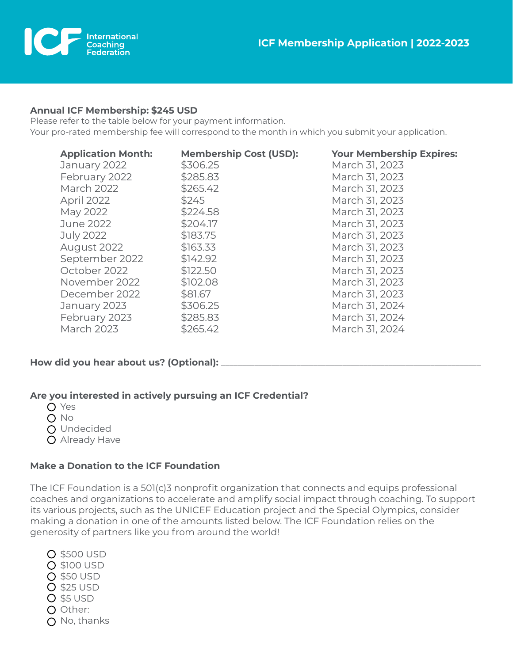

## **Annual ICF Membership: \$245 USD**

Please refer to the table below for your payment information. Your pro-rated membership fee will correspond to the month in which you submit your application.

| <b>Application Month:</b><br>January 2022 | <b>Membership (</b><br>\$306.25 |
|-------------------------------------------|---------------------------------|
| February 2022                             | \$285.83                        |
| <b>March 2022</b>                         | \$265.42                        |
| April 2022                                | \$245                           |
| May 2022                                  | \$224.58                        |
| June 2022                                 | \$204.17                        |
| <b>July 2022</b>                          | \$183.75                        |
| August 2022                               | \$163.33                        |
| September 2022                            | \$142.92                        |
| October 2022                              | \$122.50                        |
| November 2022                             | \$102.08                        |
| December 2022                             | \$81.67                         |
| January 2023                              | \$306.25                        |
| February 2023                             | \$285.83                        |
| <b>March 2023</b>                         | \$265.42                        |

**Application Month: Membership Cost (USD): Your Membership Expires:** March 31, 2023 March 31, 2023 March 31, 2023 March 31, 2023 March 31, 2023 March 31, 2023 March 31, 2023 March 31, 2023 March 31, 2023 March 31, 2023 March 31, 2023 March 31, 2023 March 31, 2024 March 31, 2024 March 31, 2024

# How did you hear about us? (Optional): \_

# **Are you interested in actively pursuing an ICF Credential?**

- O Yes
- $O$  No
- O Undecided
- O Already Have

# **Make a Donation to the ICF Foundation**

The ICF Foundation is a 501(c)3 nonprofit organization that connects and equips professional coaches and organizations to accelerate and amplify social impact through coaching. To support its various projects, such as the UNICEF Education project and the Special Olympics, consider making a donation in one of the amounts listed below. The ICF Foundation relies on the generosity of partners like you from around the world!

**O \$500 USD** \$100 USD  $O$  \$50 USD \$25 USD **O** \$5 USD O Other: O No, thanks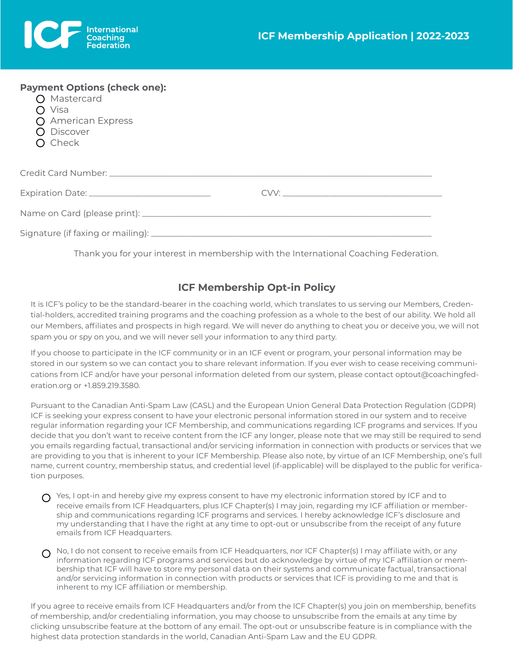

| <b>Payment Options (check one):</b><br>O Mastercard<br>$\bigcirc$ Visa<br>$\Omega$ American Express<br>O Discover<br>$\bigcirc$ Check |  |
|---------------------------------------------------------------------------------------------------------------------------------------|--|
|                                                                                                                                       |  |
|                                                                                                                                       |  |
|                                                                                                                                       |  |
|                                                                                                                                       |  |

Thank you for your interest in membership with the International Coaching Federation.

# **ICF Membership Opt-in Policy**

It is ICF's policy to be the standard-bearer in the coaching world, which translates to us serving our Members, Credential-holders, accredited training programs and the coaching profession as a whole to the best of our ability. We hold all our Members, affiliates and prospects in high regard. We will never do anything to cheat you or deceive you, we will not spam you or spy on you, and we will never sell your information to any third party.

If you choose to participate in the ICF community or in an ICF event or program, your personal information may be stored in our system so we can contact you to share relevant information. If you ever wish to cease receiving communications from ICF and/or have your personal information deleted from our system, please contact optout@coachingfederation.org or +1.859.219.3580.

Pursuant to the Canadian Anti-Spam Law (CASL) and the European Union General Data Protection Regulation (GDPR) ICF is seeking your express consent to have your electronic personal information stored in our system and to receive regular information regarding your ICF Membership, and communications regarding ICF programs and services. If you decide that you don't want to receive content from the ICF any longer, please note that we may still be required to send you emails regarding factual, transactional and/or servicing information in connection with products or services that we are providing to you that is inherent to your ICF Membership. Please also note, by virtue of an ICF Membership, one's full name, current country, membership status, and credential level (if-applicable) will be displayed to the public for verification purposes.

- $\bigcap$  Yes, I opt-in and hereby give my express consent to have my electronic information stored by ICF and to receive emails from ICF Headquarters, plus ICF Chapter(s) I may join, regarding my ICF affiliation or membership and communications regarding ICF programs and services. I hereby acknowledge ICF's disclosure and my understanding that I have the right at any time to opt-out or unsubscribe from the receipt of any future emails from ICF Headquarters.
- $\Omega$  No, I do not consent to receive emails from ICF Headquarters, nor ICF Chapter(s) I may affiliate with, or any information regarding ICF programs and services but do acknowledge by virtue of my ICF affiliation or membership that ICF will have to store my personal data on their systems and communicate factual, transactional and/or servicing information in connection with products or services that ICF is providing to me and that is inherent to my ICF affiliation or membership.

If you agree to receive emails from ICF Headquarters and/or from the ICF Chapter(s) you join on membership, benefits of membership, and/or credentialing information, you may choose to unsubscribe from the emails at any time by clicking unsubscribe feature at the bottom of any email. The opt-out or unsubscribe feature is in compliance with the highest data protection standards in the world, Canadian Anti-Spam Law and the EU GDPR.